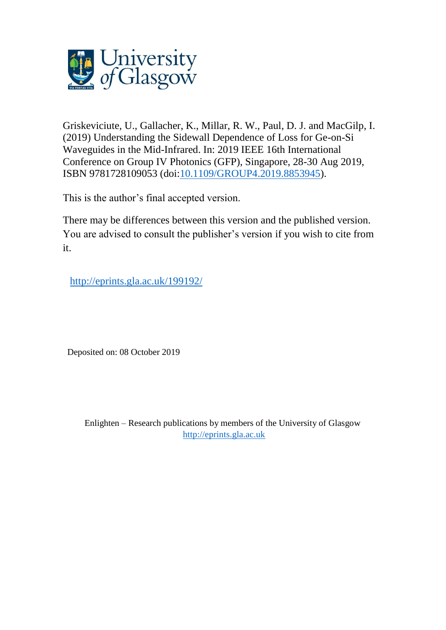

Griskeviciute, U., Gallacher, K., Millar, R. W., Paul, D. J. and MacGilp, I. (2019) Understanding the Sidewall Dependence of Loss for Ge-on-Si Waveguides in the Mid-Infrared. In: 2019 IEEE 16th International Conference on Group IV Photonics (GFP), Singapore, 28-30 Aug 2019, ISBN 9781728109053 (doi[:10.1109/GROUP4.2019.8853945\)](http://dx.doi.org/10.1109/GROUP4.2019.8853945).

This is the author's final accepted version.

There may be differences between this version and the published version. You are advised to consult the publisher's version if you wish to cite from it.

<http://eprints.gla.ac.uk/199192/>

Deposited on: 08 October 2019

Enlighten – Research publications by members of the University of Glasgow [http://eprints.gla.ac.uk](http://eprints.gla.ac.uk/)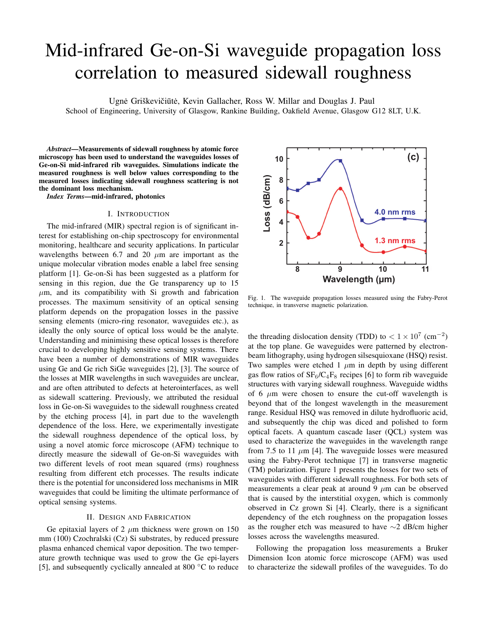# Mid-infrared Ge-on-Si waveguide propagation loss correlation to measured sidewall roughness

Ugnė Griškevičiūtė, Kevin Gallacher, Ross W. Millar and Douglas J. Paul

School of Engineering, University of Glasgow, Rankine Building, Oakfield Avenue, Glasgow G12 8LT, U.K.

*Abstract*—Measurements of sidewall roughness by atomic force microscopy has been used to understand the waveguides losses of Ge-on-Si mid-infrared rib waveguides. Simulations indicate the measured roughness is well below values corresponding to the measured losses indicating sidewall roughness scattering is not the dominant loss mechanism.

*Index Terms*—mid-infrared, photonics

#### I. INTRODUCTION

The mid-infrared (MIR) spectral region is of significant interest for establishing on-chip spectroscopy for environmental monitoring, healthcare and security applications. In particular wavelengths between 6.7 and 20  $\mu$ m are important as the unique molecular vibration modes enable a label free sensing platform [1]. Ge-on-Si has been suggested as a platform for sensing in this region, due the Ge transparency up to 15  $\mu$ m, and its compatibility with Si growth and fabrication processes. The maximum sensitivity of an optical sensing platform depends on the propagation losses in the passive sensing elements (micro-ring resonator, waveguides etc.), as ideally the only source of optical loss would be the analyte. Understanding and minimising these optical losses is therefore crucial to developing highly sensitive sensing systems. There have been a number of demonstrations of MIR waveguides using Ge and Ge rich SiGe waveguides [2], [3]. The source of the losses at MIR wavelengths in such waveguides are unclear, and are often attributed to defects at heterointerfaces, as well as sidewall scattering. Previously, we attributed the residual loss in Ge-on-Si waveguides to the sidewall roughness created by the etching process [4], in part due to the wavelength dependence of the loss. Here, we experimentally investigate the sidewall roughness dependence of the optical loss, by using a novel atomic force microscope (AFM) technique to directly measure the sidewall of Ge-on-Si waveguides with two different levels of root mean squared (rms) roughness resulting from different etch processes. The results indicate there is the potential for unconsidered loss mechanisms in MIR waveguides that could be limiting the ultimate performance of optical sensing systems.

# II. DESIGN AND FABRICATION

Ge epitaxial layers of 2  $\mu$ m thickness were grown on 150 mm (100) Czochralski (Cz) Si substrates, by reduced pressure plasma enhanced chemical vapor deposition. The two temperature growth technique was used to grow the Ge epi-layers [5], and subsequently cyclically annealed at 800 ◦C to reduce



Fig. 1. The waveguide propagation losses measured using the Fabry-Perot technique, in transverse magnetic polarization.

the threading dislocation density (TDD) to  $< 1 \times 10^{7}$  (cm<sup>-2</sup>) at the top plane. Ge waveguides were patterned by electronbeam lithography, using hydrogen silsesquioxane (HSQ) resist. Two samples were etched 1  $\mu$ m in depth by using different gas flow ratios of  $SF_6/C_4F_8$  recipes [6] to form rib waveguide structures with varying sidewall roughness. Waveguide widths of 6  $\mu$ m were chosen to ensure the cut-off wavelength is beyond that of the longest wavelength in the measurement range. Residual HSQ was removed in dilute hydrofluoric acid, and subsequently the chip was diced and polished to form optical facets. A quantum cascade laser (QCL) system was used to characterize the waveguides in the wavelength range from 7.5 to 11  $\mu$ m [4]. The waveguide losses were measured using the Fabry-Perot technique [7] in transverse magnetic (TM) polarization. Figure 1 presents the losses for two sets of waveguides with different sidewall roughness. For both sets of measurements a clear peak at around 9  $\mu$ m can be observed that is caused by the interstitial oxygen, which is commonly observed in Cz grown Si [4]. Clearly, there is a significant dependency of the etch roughness on the propagation losses as the rougher etch was measured to have ∼2 dB/cm higher losses across the wavelengths measured.

Following the propagation loss measurements a Bruker Dimension Icon atomic force microscope (AFM) was used to characterize the sidewall profiles of the waveguides. To do